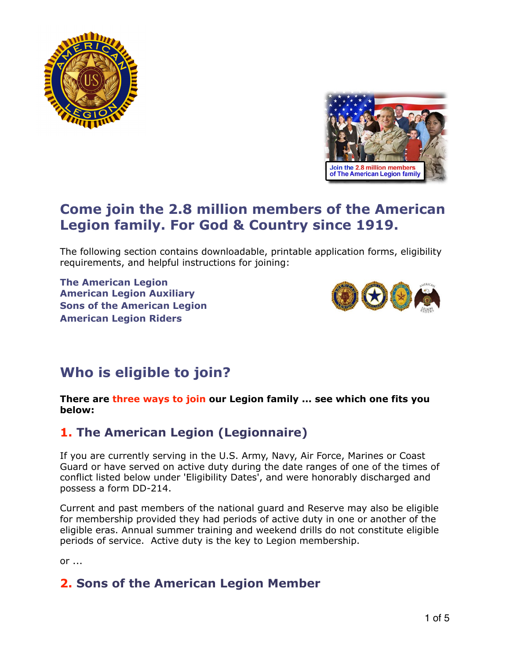



# **Come join the 2.8 million members of the American Legion family. For God & Country since 1919.**

The following section contains downloadable, printable application forms, eligibility requirements, and helpful instructions for joining:

**The American Legion American Legion Auxiliary Sons of the American Legion American Legion Riders** 



# **Who is eligible to join?**

#### **There are three ways to join our Legion family ... see which one fits you below:**

## **1. The American Legion (Legionnaire)**

If you are currently serving in the U.S. Army, Navy, Air Force, Marines or Coast Guard or have served on active duty during the date ranges of one of the times of conflict listed below under 'Eligibility Dates', and were honorably discharged and possess a form DD-214.

Current and past members of the national guard and Reserve may also be eligible for membership provided they had periods of active duty in one or another of the eligible eras. Annual summer training and weekend drills do not constitute eligible periods of service. Active duty is the key to Legion membership.

or ...

## **2. Sons of the American Legion Member**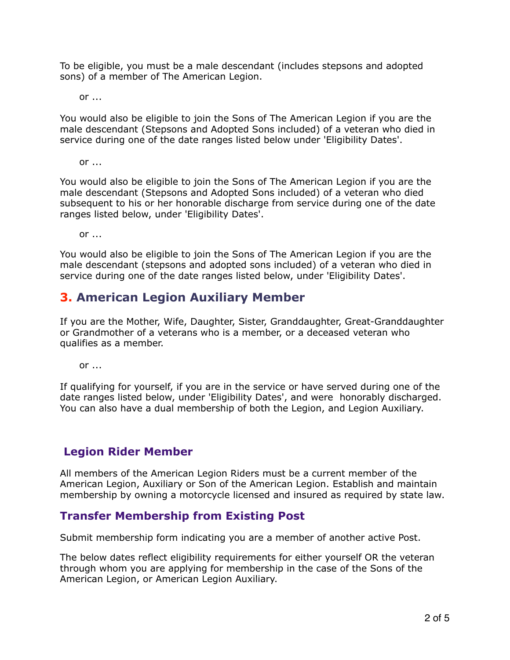To be eligible, you must be a male descendant (includes stepsons and adopted sons) of a member of The American Legion.

or ...

You would also be eligible to join the Sons of The American Legion if you are the male descendant (Stepsons and Adopted Sons included) of a veteran who died in service during one of the date ranges listed below under 'Eligibility Dates'.

or ...

You would also be eligible to join the Sons of The American Legion if you are the male descendant (Stepsons and Adopted Sons included) of a veteran who died subsequent to his or her honorable discharge from service during one of the date ranges listed below, under 'Eligibility Dates'.

or ...

You would also be eligible to join the Sons of The American Legion if you are the male descendant (stepsons and adopted sons included) of a veteran who died in service during one of the date ranges listed below, under 'Eligibility Dates'.

### **3. American Legion Auxiliary Member**

If you are the Mother, Wife, Daughter, Sister, Granddaughter, Great-Granddaughter or Grandmother of a veterans who is a member, or a deceased veteran who qualifies as a member.

or ...

If qualifying for yourself, if you are in the service or have served during one of the date ranges listed below, under 'Eligibility Dates', and were honorably discharged. You can also have a dual membership of both the Legion, and Legion Auxiliary.

### **Legion Rider Member**

All members of the American Legion Riders must be a current member of the American Legion, Auxiliary or Son of the American Legion. Establish and maintain membership by owning a motorcycle licensed and insured as required by state law.

### **Transfer Membership from Existing Post**

Submit membership form indicating you are a member of another active Post.

The below dates reflect eligibility requirements for either yourself OR the veteran through whom you are applying for membership in the case of the Sons of the American Legion, or American Legion Auxiliary.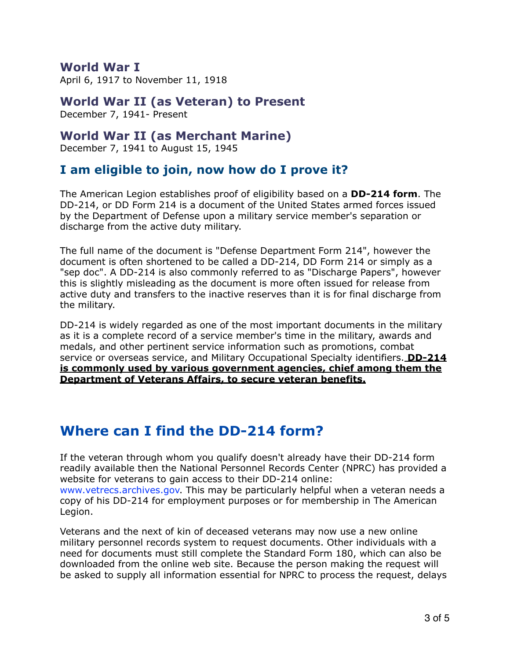### **World War I**

April 6, 1917 to November 11, 1918

### **World War II (as Veteran) to Present**

December 7, 1941- Present

### **World War II (as Merchant Marine)**

December 7, 1941 to August 15, 1945

## **I am eligible to join, now how do I prove it?**

The American Legion establishes proof of eligibility based on a **DD-214 form**. The DD-214, or DD Form 214 is a document of the United States armed forces issued by the Department of Defense upon a military service member's separation or discharge from the active duty military.

The full name of the document is "Defense Department Form 214", however the document is often shortened to be called a DD-214, DD Form 214 or simply as a "sep doc". A DD-214 is also commonly referred to as "Discharge Papers", however this is slightly misleading as the document is more often issued for release from active duty and transfers to the inactive reserves than it is for final discharge from the military.

DD-214 is widely regarded as one of the most important documents in the military as it is a complete record of a service member's time in the military, awards and medals, and other pertinent service information such as promotions, combat service or overseas service, and Military Occupational Specialty identifiers. **DD-214 is commonly used by various government agencies, chief among them the Department of Veterans Affairs, to secure veteran benefits.** 

# **Where can I find the DD-214 form?**

If the veteran through whom you qualify doesn't already have their DD-214 form readily available then the National Personnel Records Center (NPRC) has provided a website for veterans to gain access to their DD-214 online: www.vetrecs.archives.gov. This may be particularly helpful when a veteran needs a copy of his DD-214 for employment purposes or for membership in The American Legion.

Veterans and the next of kin of deceased veterans may now use a new online military personnel records system to request documents. Other individuals with a need for documents must still complete the Standard Form 180, which can also be downloaded from the online web site. Because the person making the request will be asked to supply all information essential for NPRC to process the request, delays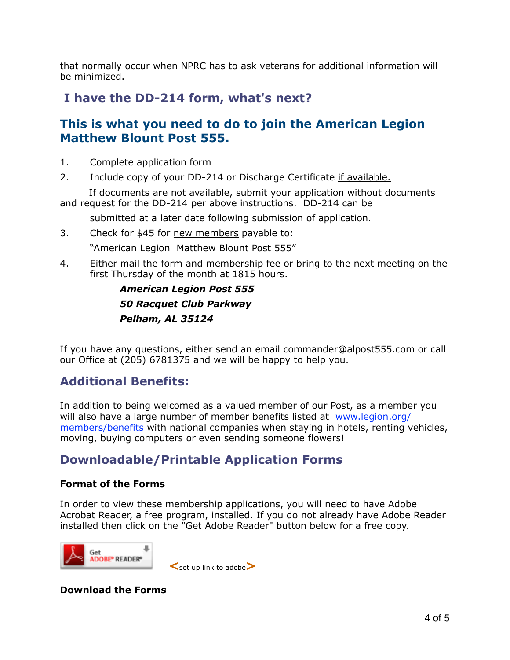that normally occur when NPRC has to ask veterans for additional information will be minimized.

## **I have the DD-214 form, what's next?**

## **This is what you need to do to join the American Legion Matthew Blount Post 555.**

- 1. Complete application form
- 2. Include copy of your DD-214 or Discharge Certificate if available.

 If documents are not available, submit your application without documents and request for the DD-214 per above instructions. DD-214 can be

submitted at a later date following submission of application.

- 3. Check for \$45 for new members payable to: "American Legion Matthew Blount Post 555"
- 4. Either mail the form and membership fee or bring to the next meeting on the first Thursday of the month at 1815 hours.

 *American Legion Post 555 50 Racquet Club Parkway Pelham, AL 35124* 

If you have any questions, either send an email [commander@alpost555.com](mailto:commander@alpost555.com) or call our Office at (205) 6781375 and we will be happy to help you.

# **Additional Benefits:**

In addition to being welcomed as a valued member of our Post, as a member you will also have a large number of member benefits listed at www.legion.org/ members/benefits with national companies when staying in hotels, renting vehicles, moving, buying computers or even sending someone flowers!

# **Downloadable/Printable Application Forms**

#### **Format of the Forms**

In order to view these membership applications, you will need to have Adobe Acrobat Reader, a free program, installed. If you do not already have Adobe Reader installed then click on the "Get Adobe Reader" button below for a free copy.



 **<**set up link to adobe**>** 

**Download the Forms**